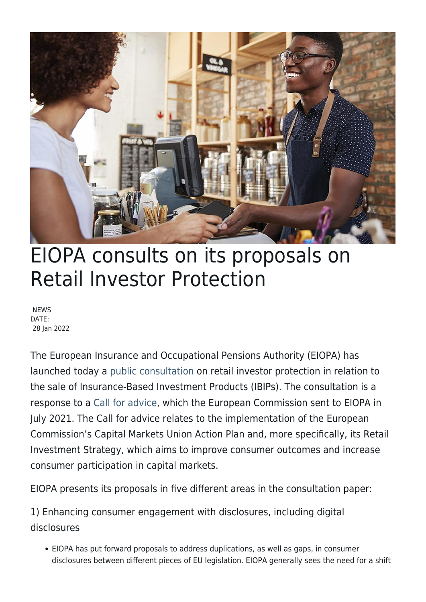

# EIOPA consults on its proposals on Retail Investor Protection

**NEWS** DATE: 28 Jan 2022

The European Insurance and Occupational Pensions Authority (EIOPA) has launched today a [public consultation](https://www.eiopa.europa.eu/document-library/consultation/public-consultation-retail-investor-protection_en) on retail investor protection in relation to the sale of Insurance-Based Investment Products (IBIPs). The consultation is a response to a [Call for advice](https://www.eiopa.europa.eu/document-library/call-advice/call-advice-eiopa-regarding-certain-aspects-relating-retail-investor_en), which the European Commission sent to EIOPA in July 2021. The Call for advice relates to the implementation of the European Commission's Capital Markets Union Action Plan and, more specifically, its Retail Investment Strategy, which aims to improve consumer outcomes and increase consumer participation in capital markets.

EIOPA presents its proposals in five different areas in the consultation paper:

1) Enhancing consumer engagement with disclosures, including digital disclosures

EIOPA has put forward proposals to address duplications, as well as gaps, in consumer disclosures between different pieces of EU legislation. EIOPA generally sees the need for a shift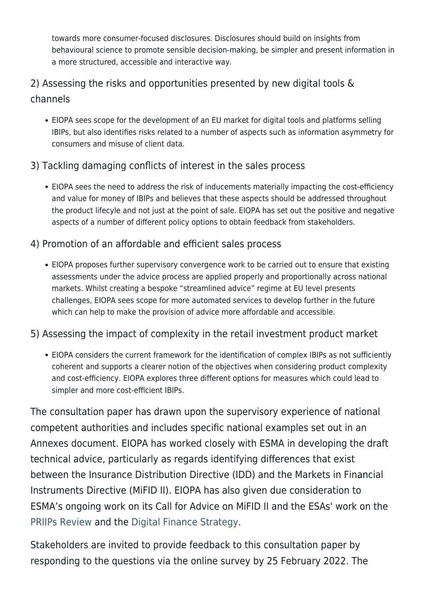towards more consumer-focused disclosures. Disclosures should build on insights from behavioural science to promote sensible decision-making, be simpler and present information in a more structured, accessible and interactive way.

## 2) Assessing the risks and opportunities presented by new digital tools & channels

EIOPA sees scope for the development of an EU market for digital tools and platforms selling IBIPs, but also identifies risks related to a number of aspects such as information asymmetry for consumers and misuse of client data.

#### 3) Tackling damaging conflicts of interest in the sales process

EIOPA sees the need to address the risk of inducements materially impacting the cost-efficiency and value for money of IBIPs and believes that these aspects should be addressed throughout the product lifecyle and not just at the point of sale. EIOPA has set out the positive and negative aspects of a number of different policy options to obtain feedback from stakeholders.

#### 4) Promotion of an affordable and efficient sales process

EIOPA proposes further supervisory convergence work to be carried out to ensure that existing assessments under the advice process are applied properly and proportionally across national markets. Whilst creating a bespoke "streamlined advice" regime at EU level presents challenges, EIOPA sees scope for more automated services to develop further in the future which can help to make the provision of advice more affordable and accessible.

#### 5) Assessing the impact of complexity in the retail investment product market

EIOPA considers the current framework for the identification of complex IBIPs as not sufficiently coherent and supports a clearer notion of the objectives when considering product complexity and cost-efficiency. EIOPA explores three different options for measures which could lead to simpler and more cost-efficient IBIPs.

The consultation paper has drawn upon the supervisory experience of national competent authorities and includes specific national examples set out in an Annexes document. EIOPA has worked closely with ESMA in developing the draft technical advice, particularly as regards identifying differences that exist between the Insurance Distribution Directive (IDD) and the Markets in Financial Instruments Directive (MiFID II). EIOPA has also given due consideration to ESMA's ongoing work on its Call for Advice on MiFID II and the ESAs' work on the [PRIIPs Review](https://ec.europa.eu/info/sites/default/files/business_economy_euro/banking_and_finance/documents/210803-retail-investment-call-advice-esas_en.pdf) and the [Digital Finance Strategy.](https://ec.europa.eu/info/sites/default/files/business_economy_euro/banking_and_finance/documents/210202-call-advice-esas-digital-finance_en.pdf)

Stakeholders are invited to provide feedback to this consultation paper by responding to the questions via the online survey by 25 February 2022. The